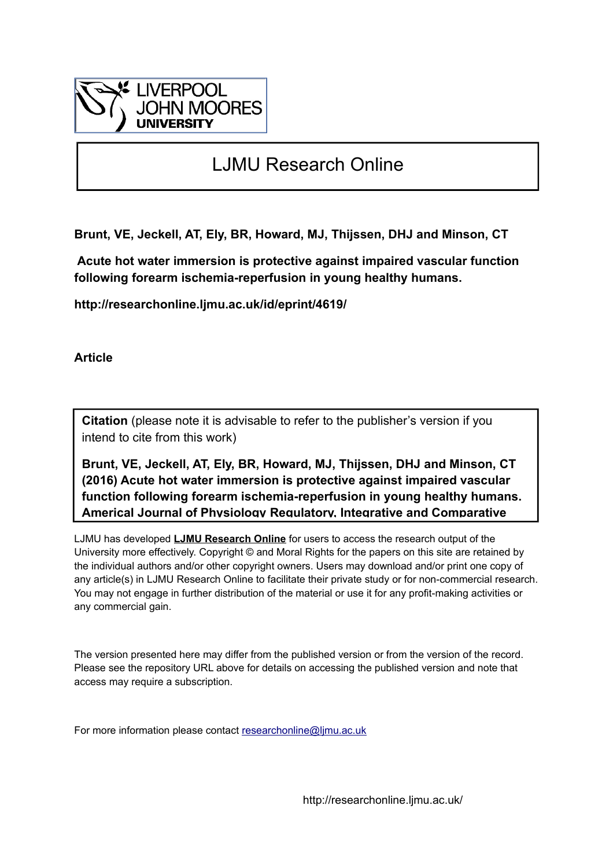

# LJMU Research Online

**Brunt, VE, Jeckell, AT, Ely, BR, Howard, MJ, Thijssen, DHJ and Minson, CT**

 **Acute hot water immersion is protective against impaired vascular function following forearm ischemia-reperfusion in young healthy humans.**

**http://researchonline.ljmu.ac.uk/id/eprint/4619/**

**Article**

**Citation** (please note it is advisable to refer to the publisher's version if you intend to cite from this work)

**Brunt, VE, Jeckell, AT, Ely, BR, Howard, MJ, Thijssen, DHJ and Minson, CT (2016) Acute hot water immersion is protective against impaired vascular function following forearm ischemia-reperfusion in young healthy humans. Americal Journal of Physiology Regulatory, Integrative and Comparative** 

LJMU has developed **[LJMU Research Online](http://researchonline.ljmu.ac.uk/)** for users to access the research output of the University more effectively. Copyright © and Moral Rights for the papers on this site are retained by the individual authors and/or other copyright owners. Users may download and/or print one copy of any article(s) in LJMU Research Online to facilitate their private study or for non-commercial research. You may not engage in further distribution of the material or use it for any profit-making activities or any commercial gain.

The version presented here may differ from the published version or from the version of the record. Please see the repository URL above for details on accessing the published version and note that access may require a subscription.

For more information please contact [researchonline@ljmu.ac.uk](mailto:researchonline@ljmu.ac.uk)

http://researchonline.ljmu.ac.uk/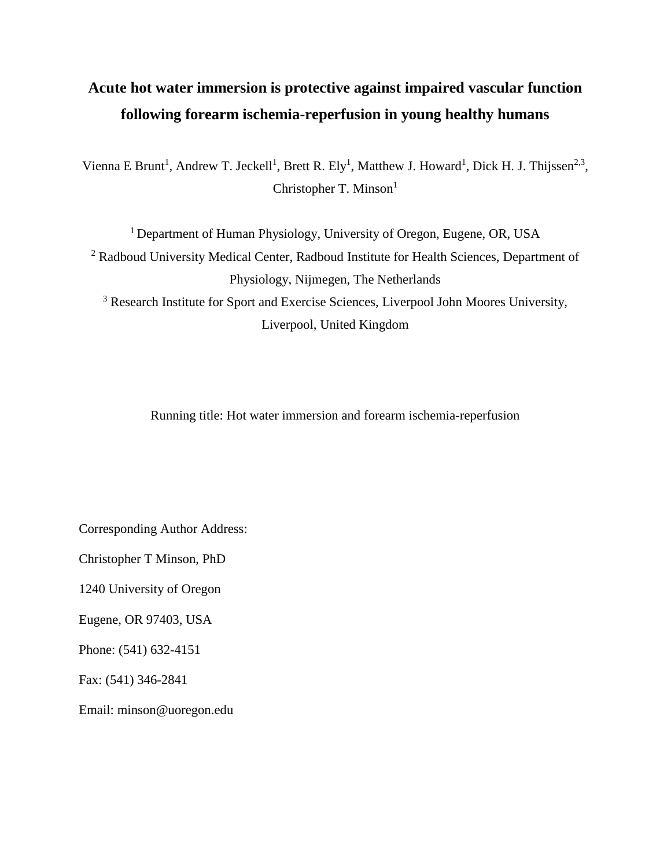# **Acute hot water immersion is protective against impaired vascular function following forearm ischemia-reperfusion in young healthy humans**

Vienna E Brunt<sup>1</sup>, Andrew T. Jeckell<sup>1</sup>, Brett R. Ely<sup>1</sup>, Matthew J. Howard<sup>1</sup>, Dick H. J. Thijssen<sup>2,3</sup>, Christopher T. Minson<sup>1</sup>

<sup>1</sup> Department of Human Physiology, University of Oregon, Eugene, OR, USA <sup>2</sup> Radboud University Medical Center, Radboud Institute for Health Sciences, Department of Physiology, Nijmegen, The Netherlands <sup>3</sup> Research Institute for Sport and Exercise Sciences, Liverpool John Moores University,

Liverpool, United Kingdom

Running title: Hot water immersion and forearm ischemia-reperfusion

Corresponding Author Address:

Christopher T Minson, PhD

1240 University of Oregon

Eugene, OR 97403, USA

Phone: (541) 632-4151

Fax: (541) 346-2841

Email: [minson@uoregon.edu](mailto:minson@uoregon.edu)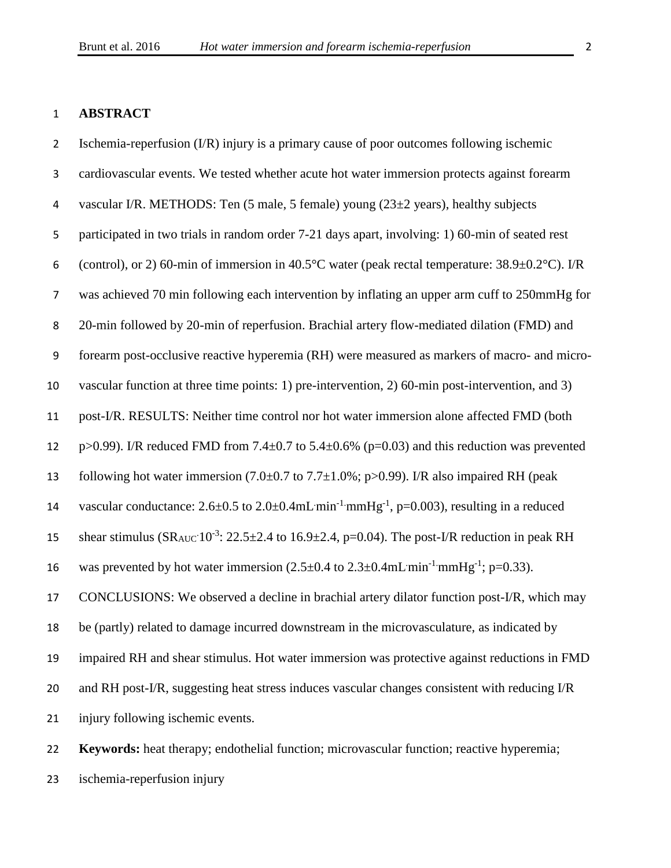#### **ABSTRACT**

 Ischemia-reperfusion (I/R) injury is a primary cause of poor outcomes following ischemic cardiovascular events. We tested whether acute hot water immersion protects against forearm vascular I/R. METHODS: Ten (5 male, 5 female) young (23±2 years), healthy subjects participated in two trials in random order 7-21 days apart, involving: 1) 60-min of seated rest 6 (control), or 2) 60-min of immersion in 40.5°C water (peak rectal temperature:  $38.9 \pm 0.2$ °C). I/R was achieved 70 min following each intervention by inflating an upper arm cuff to 250mmHg for 20-min followed by 20-min of reperfusion. Brachial artery flow-mediated dilation (FMD) and forearm post-occlusive reactive hyperemia (RH) were measured as markers of macro- and micro- vascular function at three time points: 1) pre-intervention, 2) 60-min post-intervention, and 3) post-I/R. RESULTS: Neither time control nor hot water immersion alone affected FMD (both 12 p>0.99). I/R reduced FMD from 7.4 $\pm$ 0.7 to 5.4 $\pm$ 0.6% (p=0.03) and this reduction was prevented 13 following hot water immersion  $(7.0\pm0.7$  to  $7.7\pm1.0\%$ ; p $>0.99$ ). I/R also impaired RH (peak 14 vascular conductance:  $2.6 \pm 0.5$  to  $2.0 \pm 0.4$  mL min<sup>-1</sup> mmHg<sup>-1</sup>, p=0.003), resulting in a reduced 15 shear stimulus  $(SR_{AUC}10^{-3}: 22.5\pm2.4$  to  $16.9\pm2.4$ , p=0.04). The post-I/R reduction in peak RH 16 was prevented by hot water immersion  $(2.5 \pm 0.4 \text{ to } 2.3 \pm 0.4 \text{mL min}^{-1} \text{mmHg}^{-1}$ ; p=0.33). CONCLUSIONS: We observed a decline in brachial artery dilator function post-I/R, which may be (partly) related to damage incurred downstream in the microvasculature, as indicated by impaired RH and shear stimulus. Hot water immersion was protective against reductions in FMD and RH post-I/R, suggesting heat stress induces vascular changes consistent with reducing I/R injury following ischemic events.

 **Keywords:** heat therapy; endothelial function; microvascular function; reactive hyperemia; ischemia-reperfusion injury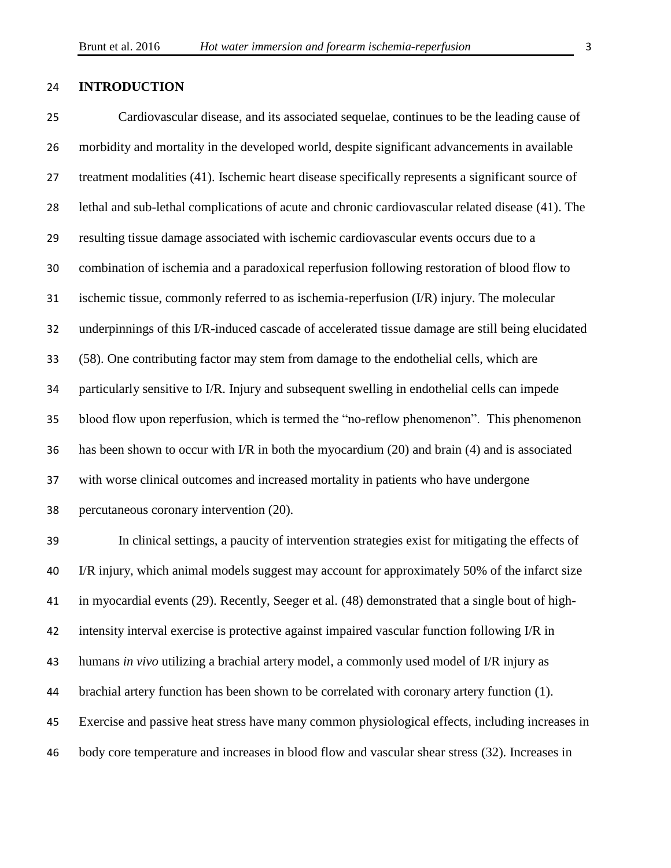#### **INTRODUCTION**

 Cardiovascular disease, and its associated sequelae, continues to be the leading cause of morbidity and mortality in the developed world, despite significant advancements in available treatment modalities (41). Ischemic heart disease specifically represents a significant source of lethal and sub-lethal complications of acute and chronic cardiovascular related disease (41). The resulting tissue damage associated with ischemic cardiovascular events occurs due to a combination of ischemia and a paradoxical reperfusion following restoration of blood flow to ischemic tissue, commonly referred to as ischemia-reperfusion (I/R) injury. The molecular underpinnings of this I/R-induced cascade of accelerated tissue damage are still being elucidated (58). One contributing factor may stem from damage to the endothelial cells, which are particularly sensitive to I/R. Injury and subsequent swelling in endothelial cells can impede blood flow upon reperfusion, which is termed the "no-reflow phenomenon". This phenomenon has been shown to occur with I/R in both the myocardium (20) and brain (4) and is associated with worse clinical outcomes and increased mortality in patients who have undergone percutaneous coronary intervention (20).

 In clinical settings, a paucity of intervention strategies exist for mitigating the effects of I/R injury, which animal models suggest may account for approximately 50% of the infarct size in myocardial events (29). Recently, Seeger et al. (48) demonstrated that a single bout of high- intensity interval exercise is protective against impaired vascular function following I/R in humans *in vivo* utilizing a brachial artery model, a commonly used model of I/R injury as brachial artery function has been shown to be correlated with coronary artery function (1). Exercise and passive heat stress have many common physiological effects, including increases in body core temperature and increases in blood flow and vascular shear stress (32). Increases in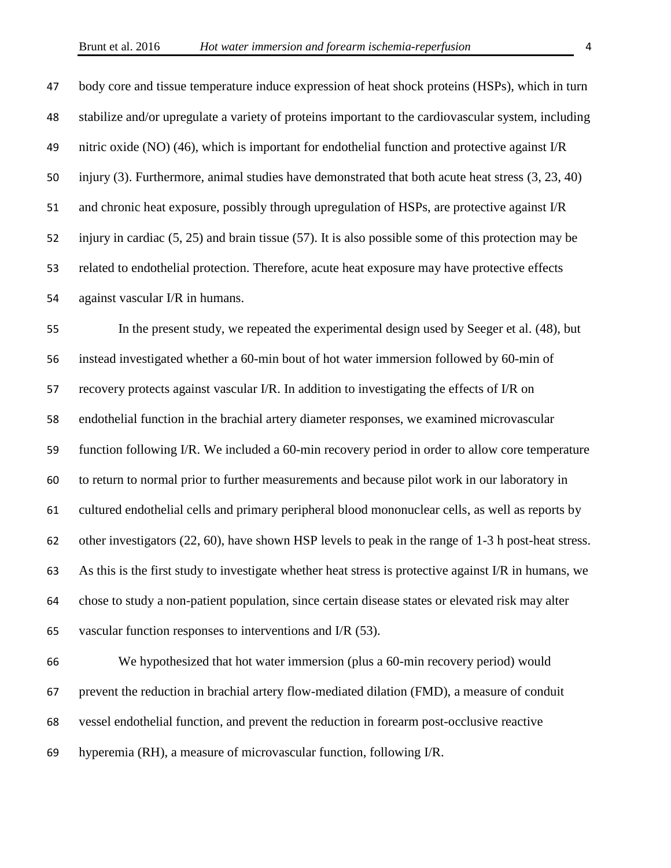body core and tissue temperature induce expression of heat shock proteins (HSPs), which in turn stabilize and/or upregulate a variety of proteins important to the cardiovascular system, including nitric oxide (NO) (46), which is important for endothelial function and protective against I/R injury (3). Furthermore, animal studies have demonstrated that both acute heat stress (3, 23, 40) and chronic heat exposure, possibly through upregulation of HSPs, are protective against I/R injury in cardiac (5, 25) and brain tissue (57). It is also possible some of this protection may be related to endothelial protection. Therefore, acute heat exposure may have protective effects against vascular I/R in humans.

 In the present study, we repeated the experimental design used by Seeger et al. (48), but instead investigated whether a 60-min bout of hot water immersion followed by 60-min of recovery protects against vascular I/R. In addition to investigating the effects of I/R on endothelial function in the brachial artery diameter responses, we examined microvascular function following I/R. We included a 60-min recovery period in order to allow core temperature to return to normal prior to further measurements and because pilot work in our laboratory in cultured endothelial cells and primary peripheral blood mononuclear cells, as well as reports by other investigators (22, 60), have shown HSP levels to peak in the range of 1-3 h post-heat stress. As this is the first study to investigate whether heat stress is protective against I/R in humans, we chose to study a non-patient population, since certain disease states or elevated risk may alter vascular function responses to interventions and I/R (53).

 We hypothesized that hot water immersion (plus a 60-min recovery period) would prevent the reduction in brachial artery flow-mediated dilation (FMD), a measure of conduit vessel endothelial function, and prevent the reduction in forearm post-occlusive reactive hyperemia (RH), a measure of microvascular function, following I/R.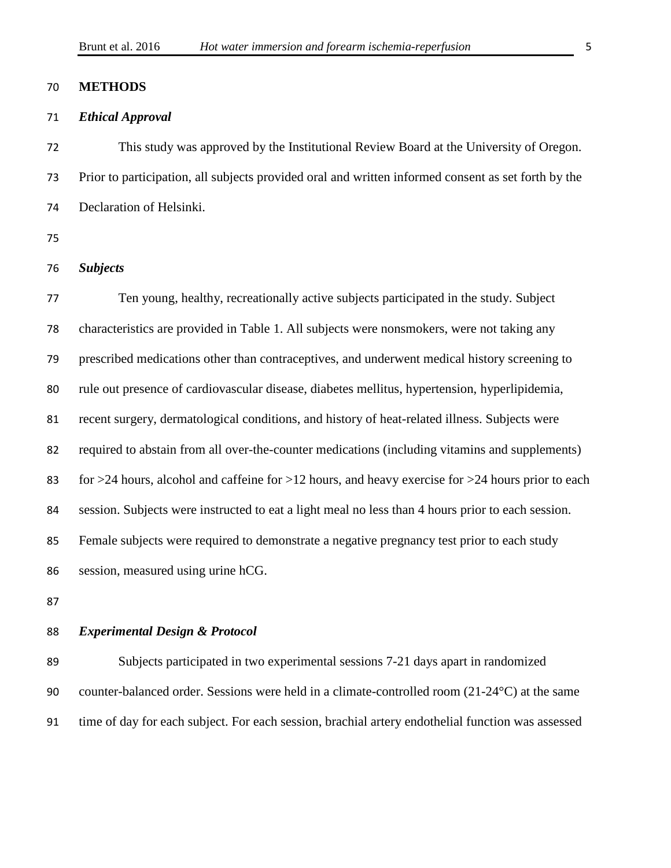#### **METHODS**

#### *Ethical Approval*

 This study was approved by the Institutional Review Board at the University of Oregon. Prior to participation, all subjects provided oral and written informed consent as set forth by the Declaration of Helsinki.

#### *Subjects*

 Ten young, healthy, recreationally active subjects participated in the study. Subject characteristics are provided in Table 1. All subjects were nonsmokers, were not taking any prescribed medications other than contraceptives, and underwent medical history screening to rule out presence of cardiovascular disease, diabetes mellitus, hypertension, hyperlipidemia, recent surgery, dermatological conditions, and history of heat-related illness. Subjects were required to abstain from all over-the-counter medications (including vitamins and supplements) for >24 hours, alcohol and caffeine for >12 hours, and heavy exercise for >24 hours prior to each session. Subjects were instructed to eat a light meal no less than 4 hours prior to each session. Female subjects were required to demonstrate a negative pregnancy test prior to each study session, measured using urine hCG.

#### *Experimental Design & Protocol*

 Subjects participated in two experimental sessions 7-21 days apart in randomized counter-balanced order. Sessions were held in a climate-controlled room (21-24°C) at the same time of day for each subject. For each session, brachial artery endothelial function was assessed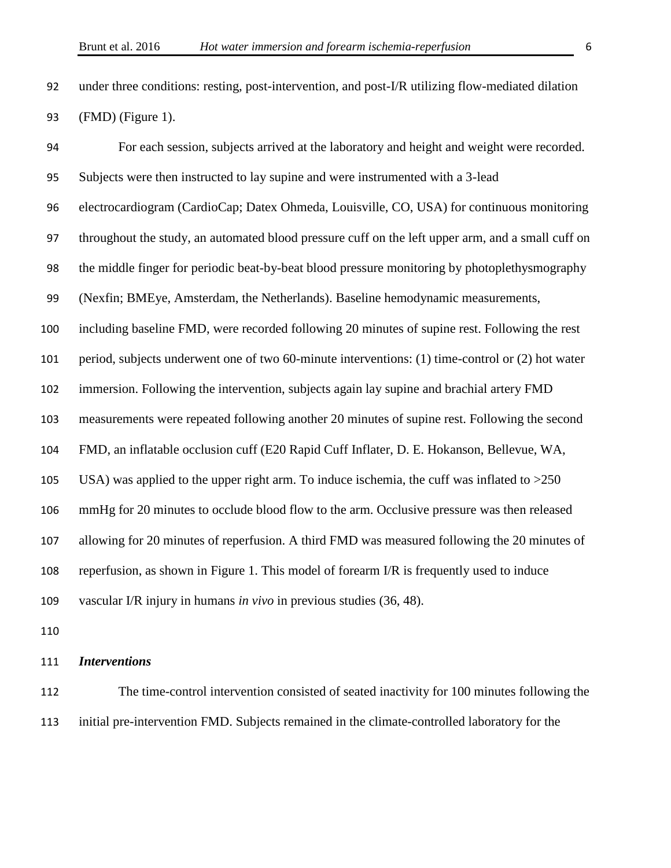under three conditions: resting, post-intervention, and post-I/R utilizing flow-mediated dilation (FMD) (Figure 1).

 For each session, subjects arrived at the laboratory and height and weight were recorded. Subjects were then instructed to lay supine and were instrumented with a 3-lead electrocardiogram (CardioCap; Datex Ohmeda, Louisville, CO, USA) for continuous monitoring throughout the study, an automated blood pressure cuff on the left upper arm, and a small cuff on the middle finger for periodic beat-by-beat blood pressure monitoring by photoplethysmography (Nexfin; BMEye, Amsterdam, the Netherlands). Baseline hemodynamic measurements, including baseline FMD, were recorded following 20 minutes of supine rest. Following the rest period, subjects underwent one of two 60-minute interventions: (1) time-control or (2) hot water immersion. Following the intervention, subjects again lay supine and brachial artery FMD measurements were repeated following another 20 minutes of supine rest. Following the second FMD, an inflatable occlusion cuff (E20 Rapid Cuff Inflater, D. E. Hokanson, Bellevue, WA, USA) was applied to the upper right arm. To induce ischemia, the cuff was inflated to >250 mmHg for 20 minutes to occlude blood flow to the arm. Occlusive pressure was then released allowing for 20 minutes of reperfusion. A third FMD was measured following the 20 minutes of reperfusion, as shown in Figure 1. This model of forearm I/R is frequently used to induce vascular I/R injury in humans *in vivo* in previous studies (36, 48).

*Interventions* 

 The time-control intervention consisted of seated inactivity for 100 minutes following the initial pre-intervention FMD. Subjects remained in the climate-controlled laboratory for the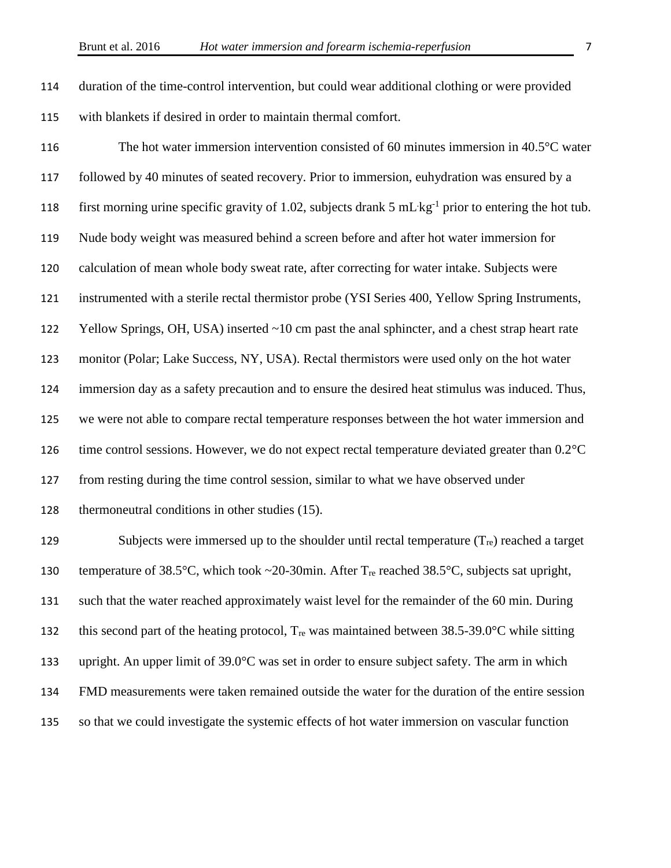duration of the time-control intervention, but could wear additional clothing or were provided with blankets if desired in order to maintain thermal comfort.

 The hot water immersion intervention consisted of 60 minutes immersion in 40.5°C water followed by 40 minutes of seated recovery. Prior to immersion, euhydration was ensured by a 118 first morning urine specific gravity of 1.02, subjects drank  $5 \text{ mL} \cdot \text{kg}^{-1}$  prior to entering the hot tub. Nude body weight was measured behind a screen before and after hot water immersion for calculation of mean whole body sweat rate, after correcting for water intake. Subjects were instrumented with a sterile rectal thermistor probe (YSI Series 400, Yellow Spring Instruments, Yellow Springs, OH, USA) inserted ~10 cm past the anal sphincter, and a chest strap heart rate monitor (Polar; Lake Success, NY, USA). Rectal thermistors were used only on the hot water immersion day as a safety precaution and to ensure the desired heat stimulus was induced. Thus, we were not able to compare rectal temperature responses between the hot water immersion and 126 time control sessions. However, we do not expect rectal temperature deviated greater than  $0.2^{\circ}$ C from resting during the time control session, similar to what we have observed under thermoneutral conditions in other studies (15).

129 Subjects were immersed up to the shoulder until rectal temperature  $(T_{re})$  reached a target 130 temperature of 38.5°C, which took ~20-30min. After T<sub>re</sub> reached 38.5°C, subjects sat upright, such that the water reached approximately waist level for the remainder of the 60 min. During 132 this second part of the heating protocol,  $T_{re}$  was maintained between 38.5-39.0°C while sitting upright. An upper limit of 39.0°C was set in order to ensure subject safety. The arm in which FMD measurements were taken remained outside the water for the duration of the entire session so that we could investigate the systemic effects of hot water immersion on vascular function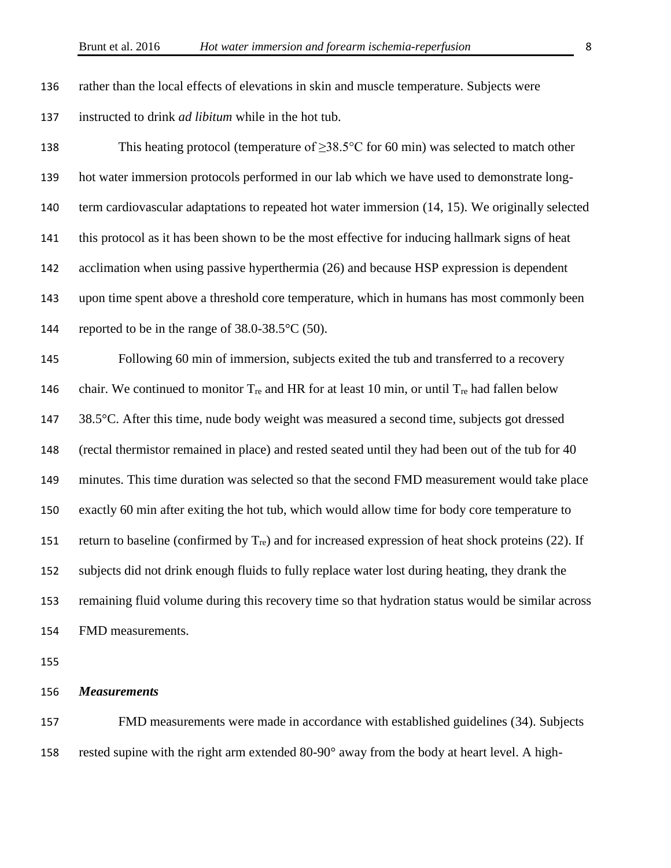rather than the local effects of elevations in skin and muscle temperature. Subjects were instructed to drink *ad libitum* while in the hot tub.

138 This heating protocol (temperature of  $\geq 38.5^{\circ}$ C for 60 min) was selected to match other hot water immersion protocols performed in our lab which we have used to demonstrate long- term cardiovascular adaptations to repeated hot water immersion (14, 15). We originally selected this protocol as it has been shown to be the most effective for inducing hallmark signs of heat acclimation when using passive hyperthermia (26) and because HSP expression is dependent upon time spent above a threshold core temperature, which in humans has most commonly been 144 reported to be in the range of  $38.0-38.5$ °C (50).

 Following 60 min of immersion, subjects exited the tub and transferred to a recovery 146 chair. We continued to monitor  $T_{re}$  and HR for at least 10 min, or until  $T_{re}$  had fallen below 38.5°C. After this time, nude body weight was measured a second time, subjects got dressed (rectal thermistor remained in place) and rested seated until they had been out of the tub for 40 minutes. This time duration was selected so that the second FMD measurement would take place exactly 60 min after exiting the hot tub, which would allow time for body core temperature to 151 return to baseline (confirmed by  $T_{\text{re}}$ ) and for increased expression of heat shock proteins (22). If subjects did not drink enough fluids to fully replace water lost during heating, they drank the remaining fluid volume during this recovery time so that hydration status would be similar across FMD measurements.

#### *Measurements*

 FMD measurements were made in accordance with established guidelines (34). Subjects rested supine with the right arm extended 80-90° away from the body at heart level. A high-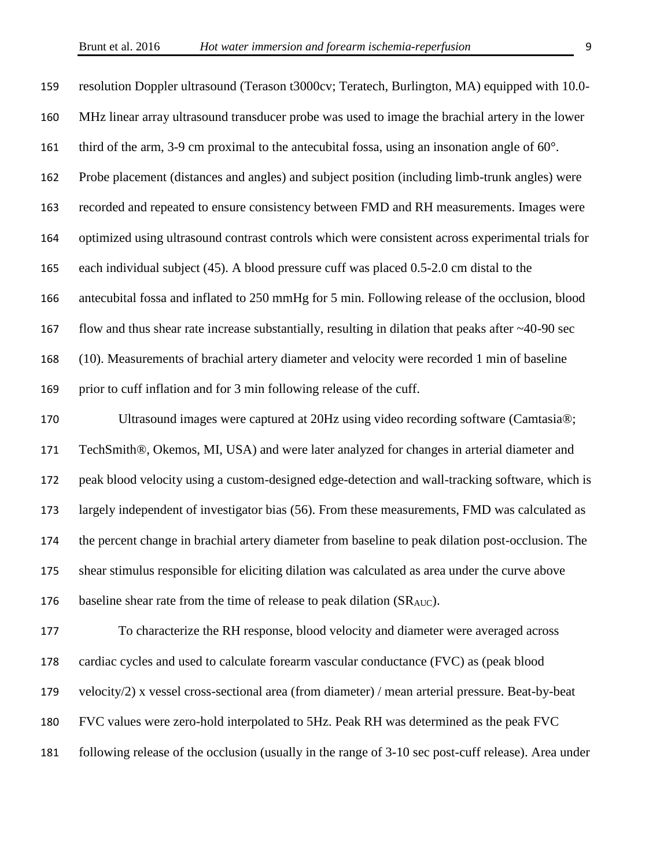| 159 | resolution Doppler ultrasound (Terason t3000cv; Teratech, Burlington, MA) equipped with 10.0-            |
|-----|----------------------------------------------------------------------------------------------------------|
| 160 | MHz linear array ultrasound transducer probe was used to image the brachial artery in the lower          |
| 161 | third of the arm, 3-9 cm proximal to the antecubital fossa, using an insonation angle of $60^\circ$ .    |
| 162 | Probe placement (distances and angles) and subject position (including limb-trunk angles) were           |
| 163 | recorded and repeated to ensure consistency between FMD and RH measurements. Images were                 |
| 164 | optimized using ultrasound contrast controls which were consistent across experimental trials for        |
| 165 | each individual subject (45). A blood pressure cuff was placed 0.5-2.0 cm distal to the                  |
| 166 | antecubital fossa and inflated to 250 mmHg for 5 min. Following release of the occlusion, blood          |
| 167 | flow and thus shear rate increase substantially, resulting in dilation that peaks after $\sim$ 40-90 sec |
| 168 | (10). Measurements of brachial artery diameter and velocity were recorded 1 min of baseline              |
| 169 | prior to cuff inflation and for 3 min following release of the cuff.                                     |
| 170 | Ultrasound images were captured at 20Hz using video recording software (Camtasia®;                       |
| 171 | TechSmith®, Okemos, MI, USA) and were later analyzed for changes in arterial diameter and                |
| 172 | peak blood velocity using a custom-designed edge-detection and wall-tracking software, which is          |
| 173 | largely independent of investigator bias (56). From these measurements, FMD was calculated as            |
| 174 | the percent change in brachial artery diameter from baseline to peak dilation post-occlusion. The        |
| 175 | shear stimulus responsible for eliciting dilation was calculated as area under the curve above           |
| 176 | baseline shear rate from the time of release to peak dilation (SR <sub>AUC</sub> ).                      |
| 177 | To characterize the RH response, blood velocity and diameter were averaged across                        |
| 178 | cardiac cycles and used to calculate forearm vascular conductance (FVC) as (peak blood                   |
| 179 | velocity/2) x vessel cross-sectional area (from diameter) / mean arterial pressure. Beat-by-beat         |
| 180 | FVC values were zero-hold interpolated to 5Hz. Peak RH was determined as the peak FVC                    |
| 181 | following release of the occlusion (usually in the range of 3-10 sec post-cuff release). Area under      |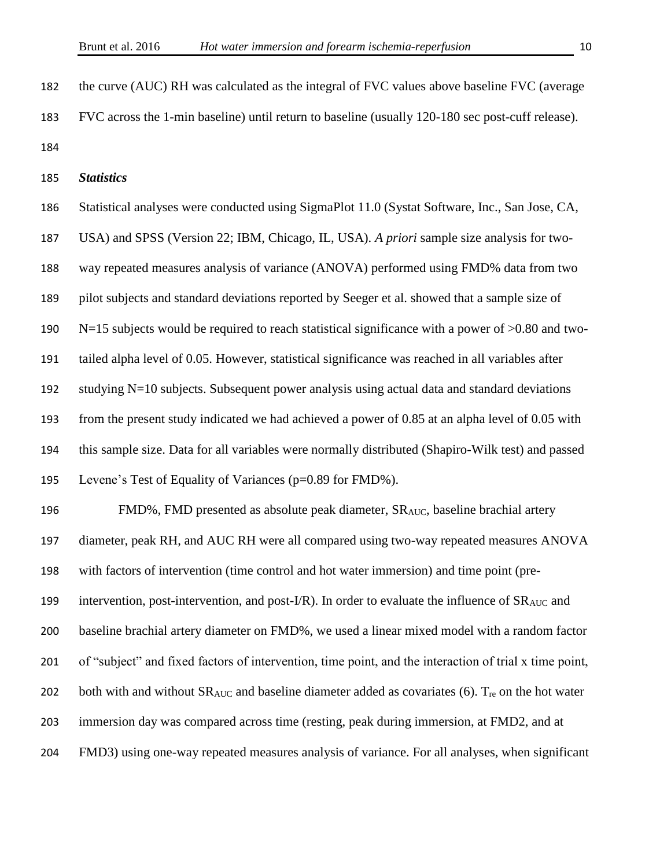the curve (AUC) RH was calculated as the integral of FVC values above baseline FVC (average FVC across the 1-min baseline) until return to baseline (usually 120-180 sec post-cuff release). 

*Statistics* 

 Statistical analyses were conducted using SigmaPlot 11.0 (Systat Software, Inc., San Jose, CA, USA) and SPSS (Version 22; IBM, Chicago, IL, USA). *A priori* sample size analysis for two- way repeated measures analysis of variance (ANOVA) performed using FMD% data from two pilot subjects and standard deviations reported by Seeger et al. showed that a sample size of N=15 subjects would be required to reach statistical significance with a power of >0.80 and two- tailed alpha level of 0.05. However, statistical significance was reached in all variables after studying N=10 subjects. Subsequent power analysis using actual data and standard deviations from the present study indicated we had achieved a power of 0.85 at an alpha level of 0.05 with this sample size. Data for all variables were normally distributed (Shapiro-Wilk test) and passed Levene's Test of Equality of Variances (p=0.89 for FMD%). 196 FMD%, FMD presented as absolute peak diameter,  $SR_{AUC}$ , baseline brachial artery diameter, peak RH, and AUC RH were all compared using two-way repeated measures ANOVA with factors of intervention (time control and hot water immersion) and time point (pre-199 intervention, post-intervention, and post-I/R). In order to evaluate the influence of  $SR_{AUC}$  and baseline brachial artery diameter on FMD%, we used a linear mixed model with a random factor of "subject" and fixed factors of intervention, time point, and the interaction of trial x time point, 202 both with and without  $SR_{AUC}$  and baseline diameter added as covariates (6).  $T_{re}$  on the hot water

immersion day was compared across time (resting, peak during immersion, at FMD2, and at

FMD3) using one-way repeated measures analysis of variance. For all analyses, when significant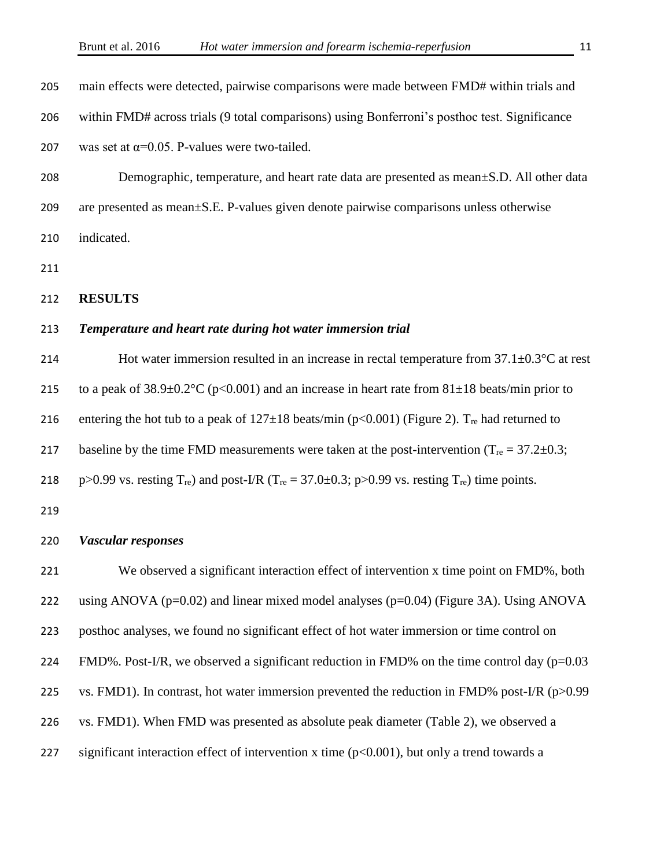| main effects were detected, pairwise comparisons were made between FMD# within trials and                                                |
|------------------------------------------------------------------------------------------------------------------------------------------|
| within FMD# across trials (9 total comparisons) using Bonferroni's posthoc test. Significance                                            |
| was set at $\alpha$ =0.05. P-values were two-tailed.                                                                                     |
| Demographic, temperature, and heart rate data are presented as mean $\pm$ S.D. All other data                                            |
| are presented as mean±S.E. P-values given denote pairwise comparisons unless otherwise                                                   |
| indicated.                                                                                                                               |
|                                                                                                                                          |
| <b>RESULTS</b>                                                                                                                           |
| Temperature and heart rate during hot water immersion trial                                                                              |
| Hot water immersion resulted in an increase in rectal temperature from $37.1 \pm 0.3$ °C at rest                                         |
| to a peak of $38.9 \pm 0.2^{\circ}$ C (p<0.001) and an increase in heart rate from $81 \pm 18$ beats/min prior to                        |
| entering the hot tub to a peak of $127 \pm 18$ beats/min (p<0.001) (Figure 2). T <sub>re</sub> had returned to                           |
| baseline by the time FMD measurements were taken at the post-intervention ( $T_{\text{re}} = 37.2 \pm 0.3$ ;                             |
| $p > 0.99$ vs. resting T <sub>re</sub> ) and post-I/R (T <sub>re</sub> = 37.0±0.3; $p > 0.99$ vs. resting T <sub>re</sub> ) time points. |
|                                                                                                                                          |
| <b>Vascular responses</b>                                                                                                                |
| We observed a significant interaction effect of intervention x time point on FMD%, both                                                  |
| using ANOVA ( $p=0.02$ ) and linear mixed model analyses ( $p=0.04$ ) (Figure 3A). Using ANOVA                                           |
| posthoc analyses, we found no significant effect of hot water immersion or time control on                                               |
| FMD%. Post-I/R, we observed a significant reduction in FMD% on the time control day $(p=0.03$                                            |
| vs. FMD1). In contrast, hot water immersion prevented the reduction in FMD% post-I/R $(p>0.99$                                           |
| vs. FMD1). When FMD was presented as absolute peak diameter (Table 2), we observed a                                                     |
| significant interaction effect of intervention x time (p<0.001), but only a trend towards a                                              |
|                                                                                                                                          |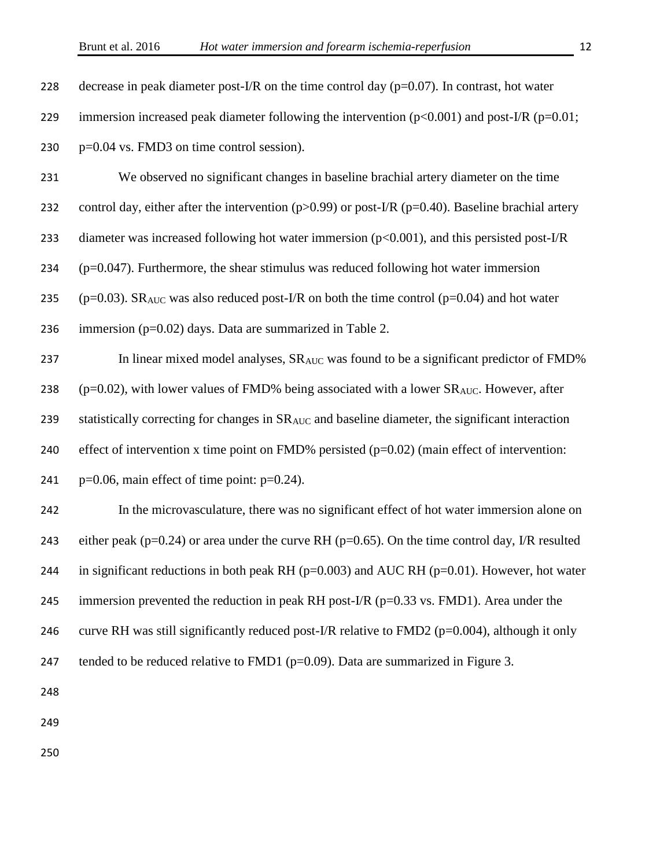231 We observed no significant changes in baseline brachial artery diameter on the time

232 control day, either after the intervention ( $p>0.99$ ) or post-I/R ( $p=0.40$ ). Baseline brachial artery

233 diameter was increased following hot water immersion ( $p<0.001$ ), and this persisted post-I/R

 $234$  (p=0.047). Furthermore, the shear stimulus was reduced following hot water immersion

235 ( $p=0.03$ ). SR<sub>AUC</sub> was also reduced post-I/R on both the time control ( $p=0.04$ ) and hot water

236 immersion  $(p=0.02)$  days. Data are summarized in Table 2.

237 In linear mixed model analyses,  $SR_{AUC}$  was found to be a significant predictor of FMD% 238 ( $p=0.02$ ), with lower values of FMD% being associated with a lower SR<sub>AUC</sub>. However, after 239 statistically correcting for changes in SR<sub>AUC</sub> and baseline diameter, the significant interaction 240 effect of intervention x time point on FMD% persisted  $(p=0.02)$  (main effect of intervention:

241 p= $0.06$ , main effect of time point: p= $0.24$ ).

242 In the microvasculature, there was no significant effect of hot water immersion alone on 243 either peak ( $p=0.24$ ) or area under the curve RH ( $p=0.65$ ). On the time control day, I/R resulted 244 in significant reductions in both peak RH ( $p=0.003$ ) and AUC RH ( $p=0.01$ ). However, hot water 245 immersion prevented the reduction in peak RH post-I/R ( $p=0.33$  vs. FMD1). Area under the 246 curve RH was still significantly reduced post-I/R relative to FMD2 ( $p=0.004$ ), although it only 247 tended to be reduced relative to FMD1 ( $p=0.09$ ). Data are summarized in Figure 3.

248

249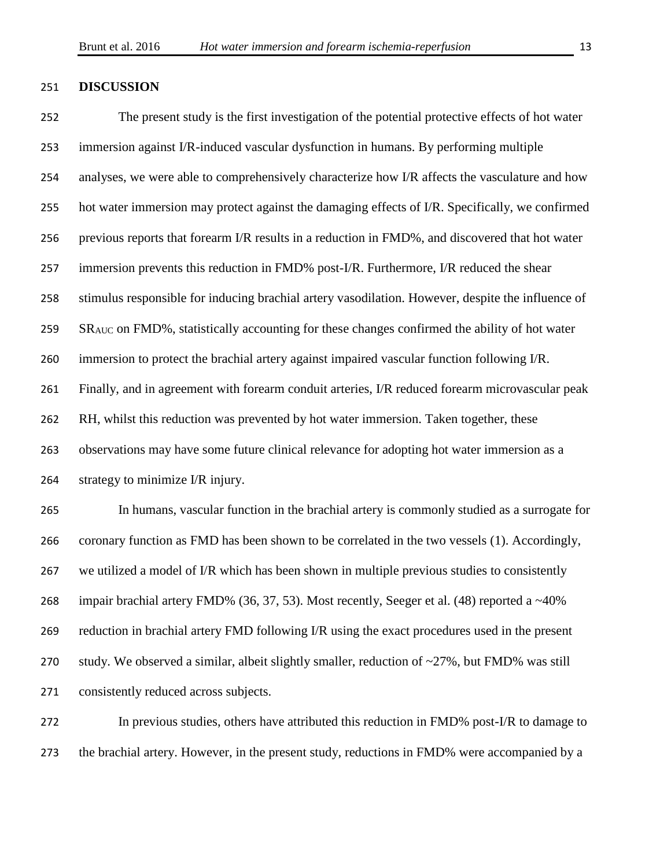#### **DISCUSSION**

 The present study is the first investigation of the potential protective effects of hot water immersion against I/R-induced vascular dysfunction in humans. By performing multiple analyses, we were able to comprehensively characterize how I/R affects the vasculature and how hot water immersion may protect against the damaging effects of I/R. Specifically, we confirmed previous reports that forearm I/R results in a reduction in FMD%, and discovered that hot water 257 immersion prevents this reduction in FMD% post-I/R. Furthermore, I/R reduced the shear stimulus responsible for inducing brachial artery vasodilation. However, despite the influence of 259 SR<sub>AUC</sub> on FMD%, statistically accounting for these changes confirmed the ability of hot water immersion to protect the brachial artery against impaired vascular function following I/R. Finally, and in agreement with forearm conduit arteries, I/R reduced forearm microvascular peak RH, whilst this reduction was prevented by hot water immersion. Taken together, these observations may have some future clinical relevance for adopting hot water immersion as a strategy to minimize I/R injury. In humans, vascular function in the brachial artery is commonly studied as a surrogate for coronary function as FMD has been shown to be correlated in the two vessels (1). Accordingly,

 we utilized a model of I/R which has been shown in multiple previous studies to consistently impair brachial artery FMD% (36, 37, 53). Most recently, Seeger et al. (48) reported a ~40% reduction in brachial artery FMD following I/R using the exact procedures used in the present 270 study. We observed a similar, albeit slightly smaller, reduction of  $\approx$  27%, but FMD% was still consistently reduced across subjects.

 In previous studies, others have attributed this reduction in FMD% post-I/R to damage to the brachial artery. However, in the present study, reductions in FMD% were accompanied by a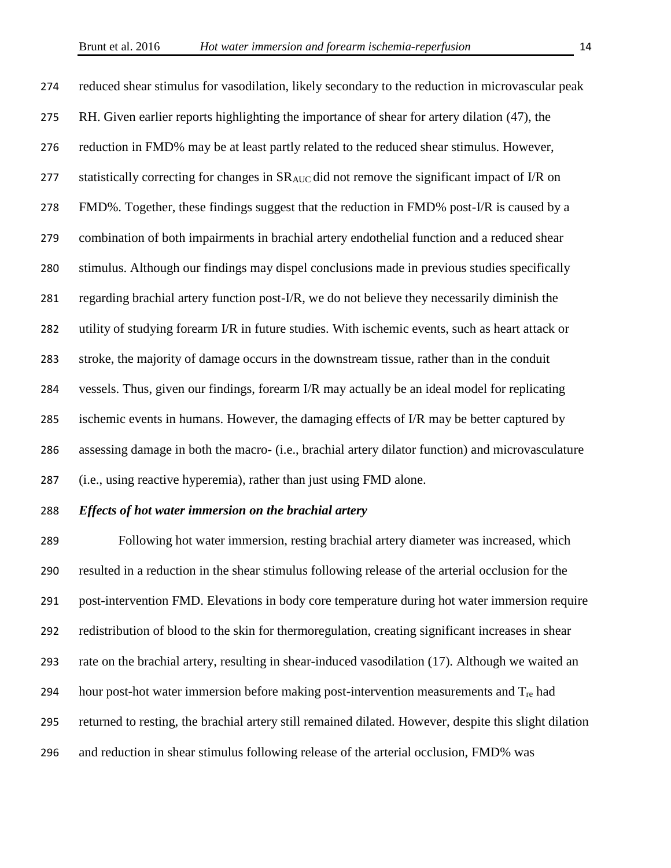reduced shear stimulus for vasodilation, likely secondary to the reduction in microvascular peak RH. Given earlier reports highlighting the importance of shear for artery dilation (47), the 276 reduction in FMD% may be at least partly related to the reduced shear stimulus. However, 277 statistically correcting for changes in SR<sub>AUC</sub> did not remove the significant impact of I/R on FMD%. Together, these findings suggest that the reduction in FMD% post-I/R is caused by a combination of both impairments in brachial artery endothelial function and a reduced shear stimulus. Although our findings may dispel conclusions made in previous studies specifically 281 regarding brachial artery function post- $I/R$ , we do not believe they necessarily diminish the 282 utility of studying forearm I/R in future studies. With ischemic events, such as heart attack or stroke, the majority of damage occurs in the downstream tissue, rather than in the conduit vessels. Thus, given our findings, forearm I/R may actually be an ideal model for replicating 285 ischemic events in humans. However, the damaging effects of I/R may be better captured by assessing damage in both the macro- (i.e., brachial artery dilator function) and microvasculature (i.e., using reactive hyperemia), rather than just using FMD alone.

#### *Effects of hot water immersion on the brachial artery*

 Following hot water immersion, resting brachial artery diameter was increased, which resulted in a reduction in the shear stimulus following release of the arterial occlusion for the post-intervention FMD. Elevations in body core temperature during hot water immersion require redistribution of blood to the skin for thermoregulation, creating significant increases in shear rate on the brachial artery, resulting in shear-induced vasodilation (17). Although we waited an 294 hour post-hot water immersion before making post-intervention measurements and  $T_{\text{re}}$  had returned to resting, the brachial artery still remained dilated. However, despite this slight dilation and reduction in shear stimulus following release of the arterial occlusion, FMD% was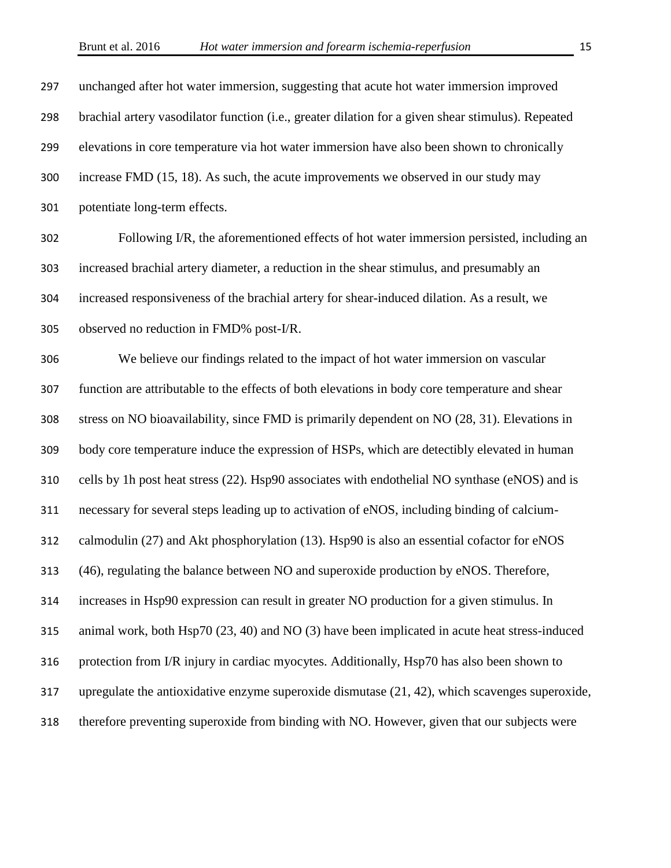unchanged after hot water immersion, suggesting that acute hot water immersion improved brachial artery vasodilator function (i.e., greater dilation for a given shear stimulus). Repeated elevations in core temperature via hot water immersion have also been shown to chronically increase FMD (15, 18). As such, the acute improvements we observed in our study may potentiate long-term effects.

 Following I/R, the aforementioned effects of hot water immersion persisted, including an increased brachial artery diameter, a reduction in the shear stimulus, and presumably an increased responsiveness of the brachial artery for shear-induced dilation. As a result, we observed no reduction in FMD% post-I/R.

 We believe our findings related to the impact of hot water immersion on vascular function are attributable to the effects of both elevations in body core temperature and shear stress on NO bioavailability, since FMD is primarily dependent on NO (28, 31). Elevations in body core temperature induce the expression of HSPs, which are detectibly elevated in human cells by 1h post heat stress (22). Hsp90 associates with endothelial NO synthase (eNOS) and is necessary for several steps leading up to activation of eNOS, including binding of calcium- calmodulin (27) and Akt phosphorylation (13). Hsp90 is also an essential cofactor for eNOS (46), regulating the balance between NO and superoxide production by eNOS. Therefore, increases in Hsp90 expression can result in greater NO production for a given stimulus. In animal work, both Hsp70 (23, 40) and NO (3) have been implicated in acute heat stress-induced protection from I/R injury in cardiac myocytes. Additionally, Hsp70 has also been shown to upregulate the antioxidative enzyme superoxide dismutase (21, 42), which scavenges superoxide, therefore preventing superoxide from binding with NO. However, given that our subjects were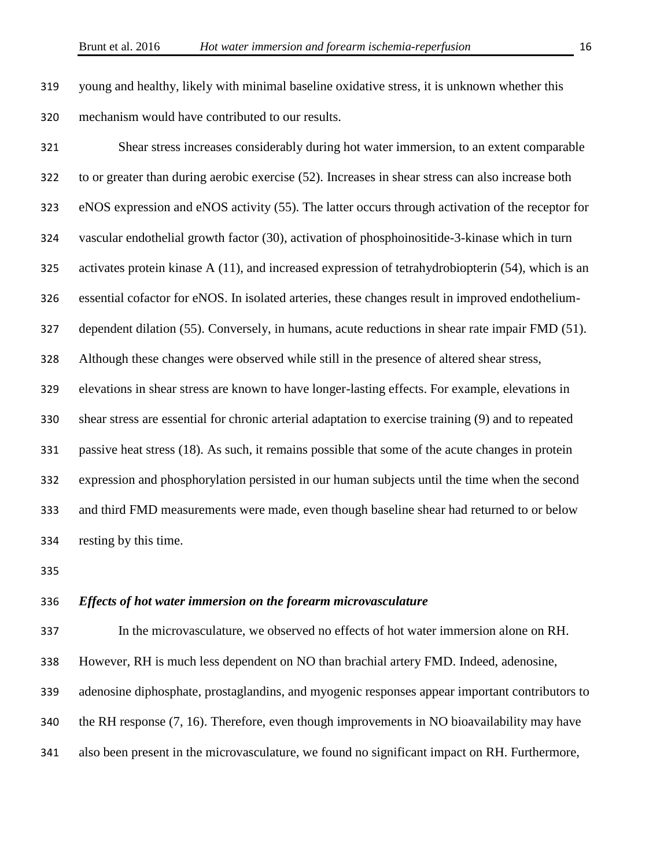young and healthy, likely with minimal baseline oxidative stress, it is unknown whether this mechanism would have contributed to our results.

 Shear stress increases considerably during hot water immersion, to an extent comparable to or greater than during aerobic exercise (52). Increases in shear stress can also increase both eNOS expression and eNOS activity (55). The latter occurs through activation of the receptor for vascular endothelial growth factor (30), activation of phosphoinositide-3-kinase which in turn activates protein kinase A (11), and increased expression of tetrahydrobiopterin (54), which is an essential cofactor for eNOS. In isolated arteries, these changes result in improved endothelium- dependent dilation (55). Conversely, in humans, acute reductions in shear rate impair FMD (51). Although these changes were observed while still in the presence of altered shear stress, elevations in shear stress are known to have longer-lasting effects. For example, elevations in shear stress are essential for chronic arterial adaptation to exercise training (9) and to repeated passive heat stress (18). As such, it remains possible that some of the acute changes in protein expression and phosphorylation persisted in our human subjects until the time when the second and third FMD measurements were made, even though baseline shear had returned to or below resting by this time.

#### *Effects of hot water immersion on the forearm microvasculature*

In the microvasculature, we observed no effects of hot water immersion alone on RH.

However, RH is much less dependent on NO than brachial artery FMD. Indeed, adenosine,

adenosine diphosphate, prostaglandins, and myogenic responses appear important contributors to

the RH response (7, 16). Therefore, even though improvements in NO bioavailability may have

also been present in the microvasculature, we found no significant impact on RH. Furthermore,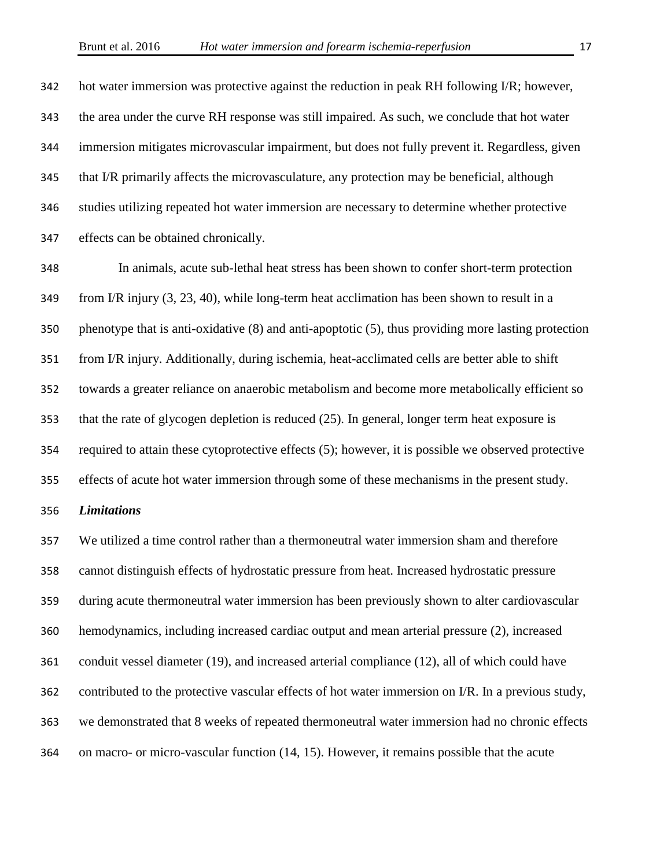hot water immersion was protective against the reduction in peak RH following I/R; however, the area under the curve RH response was still impaired. As such, we conclude that hot water immersion mitigates microvascular impairment, but does not fully prevent it. Regardless, given that I/R primarily affects the microvasculature, any protection may be beneficial, although studies utilizing repeated hot water immersion are necessary to determine whether protective effects can be obtained chronically.

 In animals, acute sub-lethal heat stress has been shown to confer short-term protection from I/R injury (3, 23, 40), while long-term heat acclimation has been shown to result in a phenotype that is anti-oxidative (8) and anti-apoptotic (5), thus providing more lasting protection from I/R injury. Additionally, during ischemia, heat-acclimated cells are better able to shift towards a greater reliance on anaerobic metabolism and become more metabolically efficient so that the rate of glycogen depletion is reduced (25). In general, longer term heat exposure is required to attain these cytoprotective effects (5); however, it is possible we observed protective effects of acute hot water immersion through some of these mechanisms in the present study.

#### *Limitations*

 We utilized a time control rather than a thermoneutral water immersion sham and therefore cannot distinguish effects of hydrostatic pressure from heat. Increased hydrostatic pressure during acute thermoneutral water immersion has been previously shown to alter cardiovascular hemodynamics, including increased cardiac output and mean arterial pressure (2), increased conduit vessel diameter (19), and increased arterial compliance (12), all of which could have contributed to the protective vascular effects of hot water immersion on I/R. In a previous study, we demonstrated that 8 weeks of repeated thermoneutral water immersion had no chronic effects on macro- or micro-vascular function (14, 15). However, it remains possible that the acute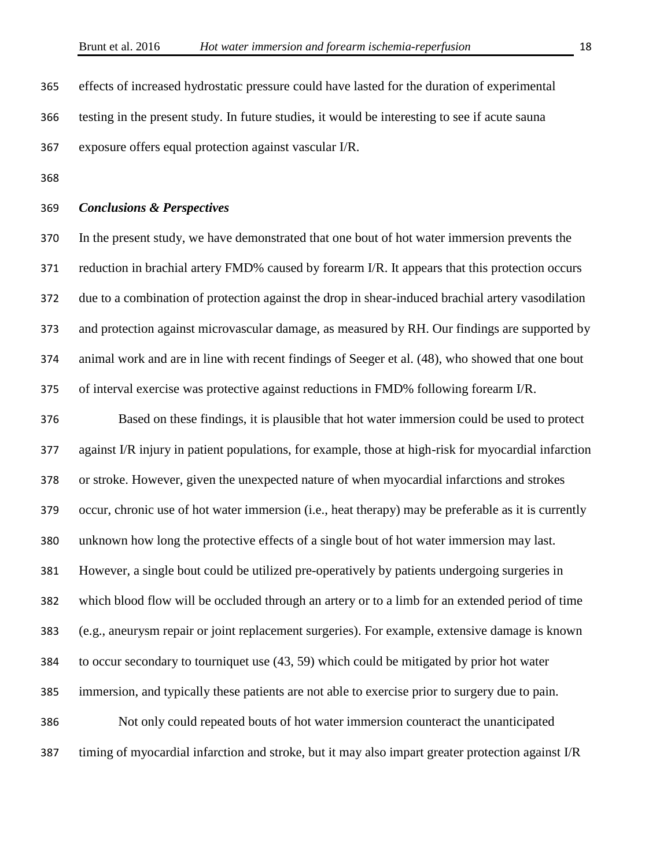effects of increased hydrostatic pressure could have lasted for the duration of experimental testing in the present study. In future studies, it would be interesting to see if acute sauna exposure offers equal protection against vascular I/R.

#### *Conclusions & Perspectives*

 In the present study, we have demonstrated that one bout of hot water immersion prevents the reduction in brachial artery FMD% caused by forearm I/R. It appears that this protection occurs due to a combination of protection against the drop in shear-induced brachial artery vasodilation and protection against microvascular damage, as measured by RH. Our findings are supported by animal work and are in line with recent findings of Seeger et al. (48), who showed that one bout of interval exercise was protective against reductions in FMD% following forearm I/R.

 Based on these findings, it is plausible that hot water immersion could be used to protect against I/R injury in patient populations, for example, those at high-risk for myocardial infarction or stroke. However, given the unexpected nature of when myocardial infarctions and strokes occur, chronic use of hot water immersion (i.e., heat therapy) may be preferable as it is currently unknown how long the protective effects of a single bout of hot water immersion may last. However, a single bout could be utilized pre-operatively by patients undergoing surgeries in which blood flow will be occluded through an artery or to a limb for an extended period of time (e.g., aneurysm repair or joint replacement surgeries). For example, extensive damage is known to occur secondary to tourniquet use (43, 59) which could be mitigated by prior hot water immersion, and typically these patients are not able to exercise prior to surgery due to pain. Not only could repeated bouts of hot water immersion counteract the unanticipated timing of myocardial infarction and stroke, but it may also impart greater protection against I/R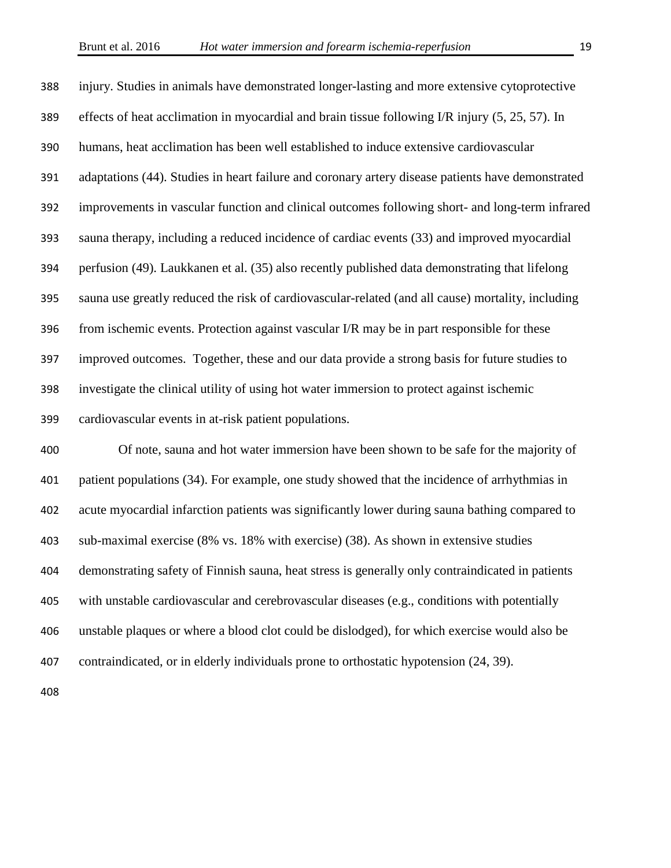injury. Studies in animals have demonstrated longer-lasting and more extensive cytoprotective effects of heat acclimation in myocardial and brain tissue following I/R injury (5, 25, 57). In humans, heat acclimation has been well established to induce extensive cardiovascular adaptations (44). Studies in heart failure and coronary artery disease patients have demonstrated improvements in vascular function and clinical outcomes following short- and long-term infrared sauna therapy, including a reduced incidence of cardiac events (33) and improved myocardial perfusion (49). Laukkanen et al. (35) also recently published data demonstrating that lifelong sauna use greatly reduced the risk of cardiovascular-related (and all cause) mortality, including from ischemic events. Protection against vascular I/R may be in part responsible for these improved outcomes. Together, these and our data provide a strong basis for future studies to investigate the clinical utility of using hot water immersion to protect against ischemic cardiovascular events in at-risk patient populations.

 Of note, sauna and hot water immersion have been shown to be safe for the majority of patient populations (34). For example, one study showed that the incidence of arrhythmias in acute myocardial infarction patients was significantly lower during sauna bathing compared to sub-maximal exercise (8% vs. 18% with exercise) (38). As shown in extensive studies demonstrating safety of Finnish sauna, heat stress is generally only contraindicated in patients with unstable cardiovascular and cerebrovascular diseases (e.g., conditions with potentially unstable plaques or where a blood clot could be dislodged), for which exercise would also be contraindicated, or in elderly individuals prone to orthostatic hypotension (24, 39).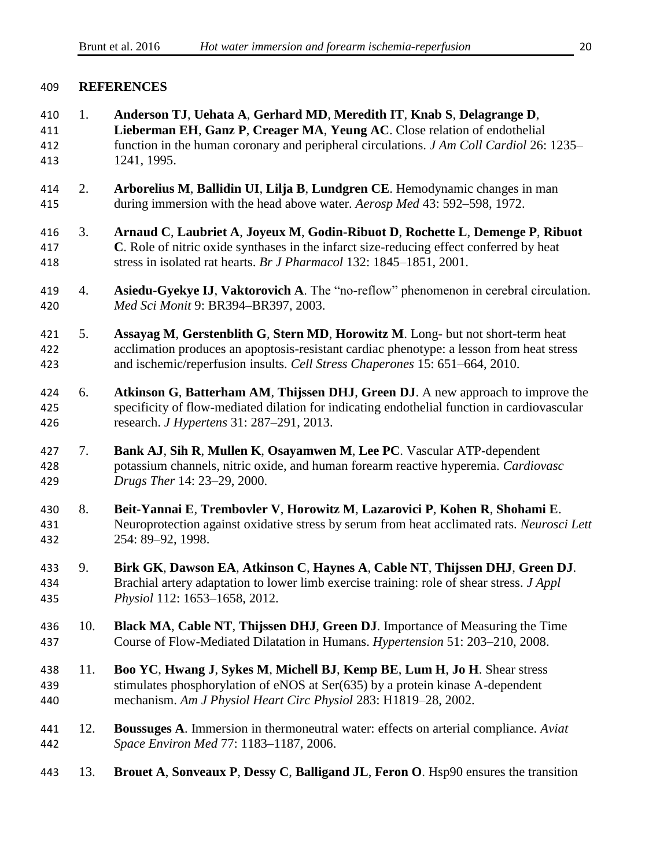#### **REFERENCES**

 1. **Anderson TJ**, **Uehata A**, **Gerhard MD**, **Meredith IT**, **Knab S**, **Delagrange D**, **Lieberman EH**, **Ganz P**, **Creager MA**, **Yeung AC**. Close relation of endothelial function in the human coronary and peripheral circulations. *J Am Coll Cardiol* 26: 1235– 1241, 1995. 2. **Arborelius M**, **Ballidin UI**, **Lilja B**, **Lundgren CE**. Hemodynamic changes in man during immersion with the head above water. *Aerosp Med* 43: 592–598, 1972. 3. **Arnaud C**, **Laubriet A**, **Joyeux M**, **Godin-Ribuot D**, **Rochette L**, **Demenge P**, **Ribuot C**. Role of nitric oxide synthases in the infarct size-reducing effect conferred by heat stress in isolated rat hearts. *Br J Pharmacol* 132: 1845–1851, 2001. 4. **Asiedu-Gyekye IJ**, **Vaktorovich A**. The "no-reflow" phenomenon in cerebral circulation. *Med Sci Monit* 9: BR394–BR397, 2003. 5. **Assayag M**, **Gerstenblith G**, **Stern MD**, **Horowitz M**. Long- but not short-term heat acclimation produces an apoptosis-resistant cardiac phenotype: a lesson from heat stress and ischemic/reperfusion insults. *Cell Stress Chaperones* 15: 651–664, 2010. 6. **Atkinson G**, **Batterham AM**, **Thijssen DHJ**, **Green DJ**. A new approach to improve the specificity of flow-mediated dilation for indicating endothelial function in cardiovascular research. *J Hypertens* 31: 287–291, 2013. 7. **Bank AJ**, **Sih R**, **Mullen K**, **Osayamwen M**, **Lee PC**. Vascular ATP-dependent potassium channels, nitric oxide, and human forearm reactive hyperemia. *Cardiovasc Drugs Ther* 14: 23–29, 2000. 8. **Beit-Yannai E**, **Trembovler V**, **Horowitz M**, **Lazarovici P**, **Kohen R**, **Shohami E**. Neuroprotection against oxidative stress by serum from heat acclimated rats. *Neurosci Lett* 254: 89–92, 1998. 9. **Birk GK**, **Dawson EA**, **Atkinson C**, **Haynes A**, **Cable NT**, **Thijssen DHJ**, **Green DJ**. Brachial artery adaptation to lower limb exercise training: role of shear stress. *J Appl Physiol* 112: 1653–1658, 2012. 10. **Black MA**, **Cable NT**, **Thijssen DHJ**, **Green DJ**. Importance of Measuring the Time Course of Flow-Mediated Dilatation in Humans. *Hypertension* 51: 203–210, 2008. 11. **Boo YC**, **Hwang J**, **Sykes M**, **Michell BJ**, **Kemp BE**, **Lum H**, **Jo H**. Shear stress stimulates phosphorylation of eNOS at Ser(635) by a protein kinase A-dependent mechanism. *Am J Physiol Heart Circ Physiol* 283: H1819–28, 2002. 12. **Boussuges A**. Immersion in thermoneutral water: effects on arterial compliance. *Aviat Space Environ Med* 77: 1183–1187, 2006. 13. **Brouet A**, **Sonveaux P**, **Dessy C**, **Balligand JL**, **Feron O**. Hsp90 ensures the transition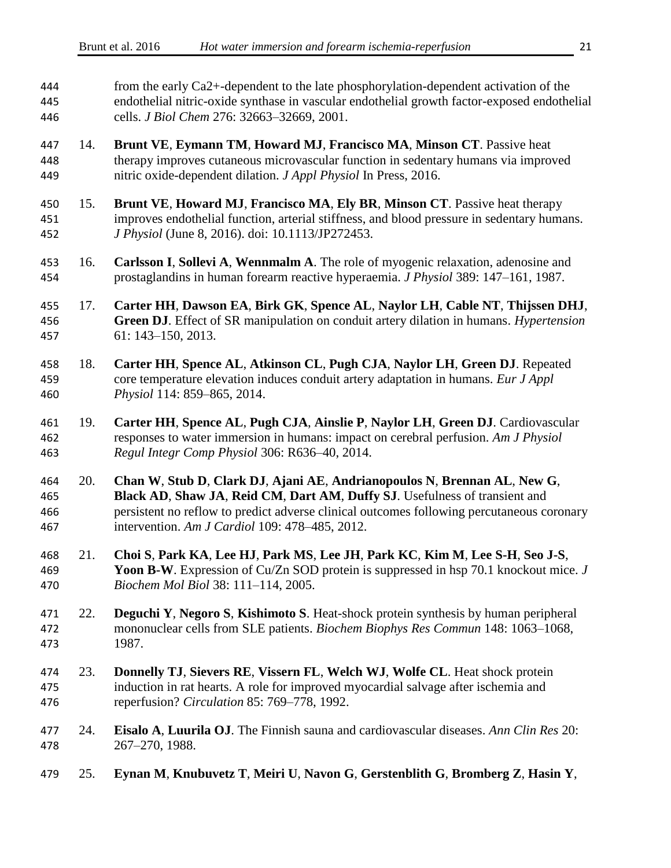| 444<br>445<br>446        |     | from the early Ca2+-dependent to the late phosphorylation-dependent activation of the<br>endothelial nitric-oxide synthase in vascular endothelial growth factor-exposed endothelial<br>cells. J Biol Chem 276: 32663-32669, 2001.                                                                    |  |  |
|--------------------------|-----|-------------------------------------------------------------------------------------------------------------------------------------------------------------------------------------------------------------------------------------------------------------------------------------------------------|--|--|
| 447<br>448<br>449        | 14. | Brunt VE, Eymann TM, Howard MJ, Francisco MA, Minson CT. Passive heat<br>therapy improves cutaneous microvascular function in sedentary humans via improved<br>nitric oxide-dependent dilation. J Appl Physiol In Press, 2016.                                                                        |  |  |
| 450<br>451<br>452        | 15. | Brunt VE, Howard MJ, Francisco MA, Ely BR, Minson CT. Passive heat therapy<br>improves endothelial function, arterial stiffness, and blood pressure in sedentary humans.<br>J Physiol (June 8, 2016). doi: 10.1113/JP272453.                                                                          |  |  |
| 453<br>454               | 16. | Carlsson I, Sollevi A, Wennmalm A. The role of myogenic relaxation, adenosine and<br>prostaglandins in human forearm reactive hyperaemia. <i>J Physiol</i> 389: 147–161, 1987.                                                                                                                        |  |  |
| 455<br>456<br>457        | 17. | Carter HH, Dawson EA, Birk GK, Spence AL, Naylor LH, Cable NT, Thijssen DHJ,<br>Green DJ. Effect of SR manipulation on conduit artery dilation in humans. Hypertension<br>$61: 143 - 150, 2013.$                                                                                                      |  |  |
| 458<br>459<br>460        | 18. | Carter HH, Spence AL, Atkinson CL, Pugh CJA, Naylor LH, Green DJ. Repeated<br>core temperature elevation induces conduit artery adaptation in humans. Eur J Appl<br>Physiol 114: 859-865, 2014.                                                                                                       |  |  |
| 461<br>462<br>463        | 19. | Carter HH, Spence AL, Pugh CJA, Ainslie P, Naylor LH, Green DJ. Cardiovascular<br>responses to water immersion in humans: impact on cerebral perfusion. Am J Physiol<br>Regul Integr Comp Physiol 306: R636-40, 2014.                                                                                 |  |  |
| 464<br>465<br>466<br>467 | 20. | Chan W, Stub D, Clark DJ, Ajani AE, Andrianopoulos N, Brennan AL, New G,<br>Black AD, Shaw JA, Reid CM, Dart AM, Duffy SJ. Usefulness of transient and<br>persistent no reflow to predict adverse clinical outcomes following percutaneous coronary<br>intervention. Am J Cardiol 109: 478-485, 2012. |  |  |
| 468<br>469<br>470        | 21. | Choi S, Park KA, Lee HJ, Park MS, Lee JH, Park KC, Kim M, Lee S-H, Seo J-S,<br>Yoon B-W. Expression of Cu/Zn SOD protein is suppressed in hsp 70.1 knockout mice. J<br>Biochem Mol Biol 38: 111-114, 2005.                                                                                            |  |  |
| 471<br>472<br>473        | 22. | Deguchi Y, Negoro S, Kishimoto S. Heat-shock protein synthesis by human peripheral<br>mononuclear cells from SLE patients. Biochem Biophys Res Commun 148: 1063-1068,<br>1987.                                                                                                                        |  |  |
| 474<br>475<br>476        | 23. | Donnelly TJ, Sievers RE, Vissern FL, Welch WJ, Wolfe CL. Heat shock protein<br>induction in rat hearts. A role for improved myocardial salvage after ischemia and<br>reperfusion? Circulation 85: 769-778, 1992.                                                                                      |  |  |
| 477<br>478               | 24. | Eisalo A, Luurila OJ. The Finnish sauna and cardiovascular diseases. Ann Clin Res 20:<br>267-270, 1988.                                                                                                                                                                                               |  |  |
| 479                      | 25. | Eynan M, Knubuvetz T, Meiri U, Navon G, Gerstenblith G, Bromberg Z, Hasin Y,                                                                                                                                                                                                                          |  |  |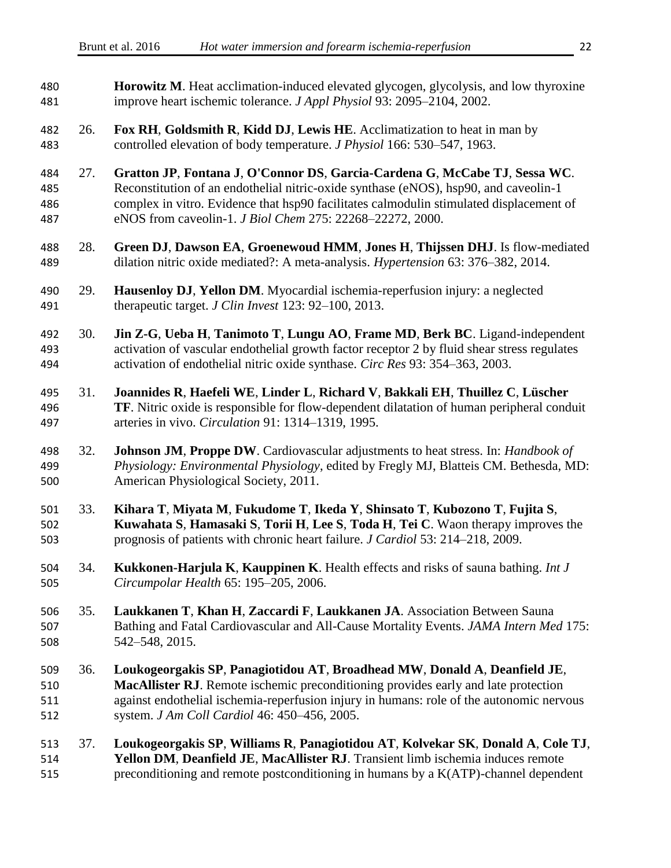| 480<br>481               |     | <b>Horowitz M.</b> Heat acclimation-induced elevated glycogen, glycolysis, and low thyroxine<br>improve heart ischemic tolerance. J Appl Physiol 93: 2095-2104, 2002.                                                                                                                                                      |  |  |  |
|--------------------------|-----|----------------------------------------------------------------------------------------------------------------------------------------------------------------------------------------------------------------------------------------------------------------------------------------------------------------------------|--|--|--|
| 482<br>483               | 26. | Fox RH, Goldsmith R, Kidd DJ, Lewis HE. Acclimatization to heat in man by<br>controlled elevation of body temperature. J Physiol 166: 530-547, 1963.                                                                                                                                                                       |  |  |  |
| 484<br>485<br>486<br>487 | 27. | Gratton JP, Fontana J, O'Connor DS, Garcia-Cardena G, McCabe TJ, Sessa WC.<br>Reconstitution of an endothelial nitric-oxide synthase (eNOS), hsp90, and caveolin-1<br>complex in vitro. Evidence that hsp90 facilitates calmodulin stimulated displacement of<br>eNOS from caveolin-1. J Biol Chem 275: 22268-22272, 2000. |  |  |  |
| 488<br>489               | 28. | Green DJ, Dawson EA, Groenewoud HMM, Jones H, Thijssen DHJ. Is flow-mediated<br>dilation nitric oxide mediated?: A meta-analysis. <i>Hypertension</i> 63: 376–382, 2014.                                                                                                                                                   |  |  |  |
| 490<br>491               | 29. | Hausenloy DJ, Yellon DM. Myocardial ischemia-reperfusion injury: a neglected<br>therapeutic target. J Clin Invest 123: 92-100, 2013.                                                                                                                                                                                       |  |  |  |
| 492<br>493<br>494        | 30. | Jin Z-G, Ueba H, Tanimoto T, Lungu AO, Frame MD, Berk BC. Ligand-independent<br>activation of vascular endothelial growth factor receptor 2 by fluid shear stress regulates<br>activation of endothelial nitric oxide synthase. Circ Res 93: 354-363, 2003.                                                                |  |  |  |
| 495<br>496<br>497        | 31. | Joannides R, Haefeli WE, Linder L, Richard V, Bakkali EH, Thuillez C, Lüscher<br>TF. Nitric oxide is responsible for flow-dependent dilatation of human peripheral conduit<br>arteries in vivo. Circulation 91: 1314-1319, 1995.                                                                                           |  |  |  |
| 498<br>499<br>500        | 32. | <b>Johnson JM, Proppe DW.</b> Cardiovascular adjustments to heat stress. In: <i>Handbook of</i><br>Physiology: Environmental Physiology, edited by Fregly MJ, Blatteis CM. Bethesda, MD:<br>American Physiological Society, 2011.                                                                                          |  |  |  |
| 501<br>502<br>503        | 33. | Kihara T, Miyata M, Fukudome T, Ikeda Y, Shinsato T, Kubozono T, Fujita S,<br>Kuwahata S, Hamasaki S, Torii H, Lee S, Toda H, Tei C. Waon therapy improves the<br>prognosis of patients with chronic heart failure. J Cardiol 53: 214–218, 2009.                                                                           |  |  |  |
| 504<br>505               | 34. | Kukkonen-Harjula K, Kauppinen K. Health effects and risks of sauna bathing. Int J<br>Circumpolar Health 65: 195-205, 2006.                                                                                                                                                                                                 |  |  |  |
| 506<br>507<br>508        | 35. | Laukkanen T, Khan H, Zaccardi F, Laukkanen JA. Association Between Sauna<br>Bathing and Fatal Cardiovascular and All-Cause Mortality Events. JAMA Intern Med 175:<br>542-548, 2015.                                                                                                                                        |  |  |  |
| 509<br>510<br>511<br>512 | 36. | Loukogeorgakis SP, Panagiotidou AT, Broadhead MW, Donald A, Deanfield JE,<br>MacAllister RJ. Remote ischemic preconditioning provides early and late protection<br>against endothelial ischemia-reperfusion injury in humans: role of the autonomic nervous<br>system. J Am Coll Cardiol 46: 450-456, 2005.                |  |  |  |
| 513<br>514               | 37. | Loukogeorgakis SP, Williams R, Panagiotidou AT, Kolvekar SK, Donald A, Cole TJ,<br>Yellon DM, Deanfield JE, MacAllister RJ. Transient limb ischemia induces remote                                                                                                                                                         |  |  |  |

preconditioning and remote postconditioning in humans by a K(ATP)-channel dependent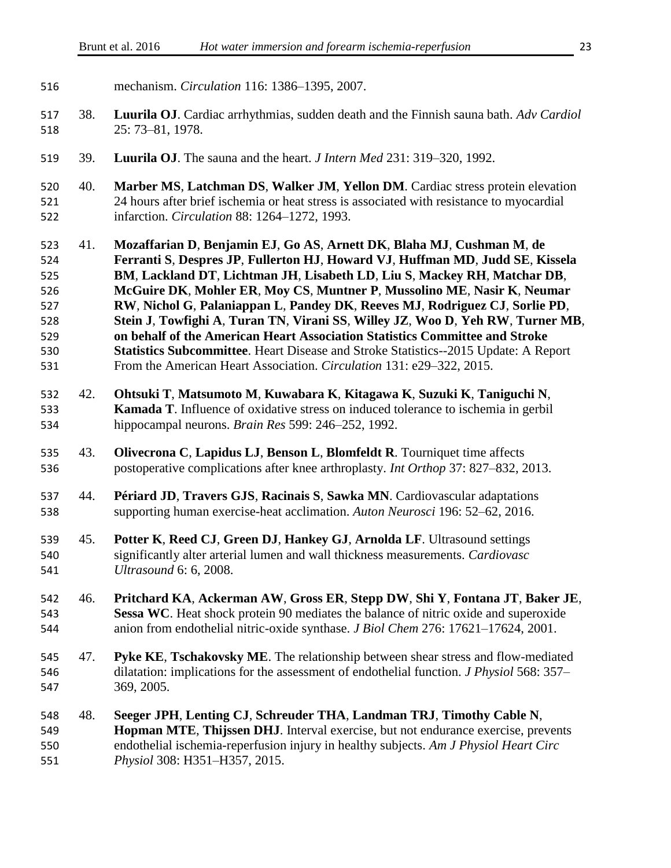| 516                                                         |     | mechanism. Circulation 116: 1386-1395, 2007.                                                                                                                                                                                                                                                                                                                                                                                                                                                                                                                                                                                                                                                                                         |  |  |
|-------------------------------------------------------------|-----|--------------------------------------------------------------------------------------------------------------------------------------------------------------------------------------------------------------------------------------------------------------------------------------------------------------------------------------------------------------------------------------------------------------------------------------------------------------------------------------------------------------------------------------------------------------------------------------------------------------------------------------------------------------------------------------------------------------------------------------|--|--|
| 517<br>518                                                  | 38. | <b>Luurila OJ</b> . Cardiac arrhythmias, sudden death and the Finnish sauna bath. Adv Cardiol<br>25: 73-81, 1978.                                                                                                                                                                                                                                                                                                                                                                                                                                                                                                                                                                                                                    |  |  |
| 519                                                         | 39. | Luurila OJ. The sauna and the heart. <i>J Intern Med</i> 231: 319–320, 1992.                                                                                                                                                                                                                                                                                                                                                                                                                                                                                                                                                                                                                                                         |  |  |
| 520<br>521<br>522                                           | 40. | Marber MS, Latchman DS, Walker JM, Yellon DM. Cardiac stress protein elevation<br>24 hours after brief ischemia or heat stress is associated with resistance to myocardial<br>infarction. Circulation 88: 1264-1272, 1993.                                                                                                                                                                                                                                                                                                                                                                                                                                                                                                           |  |  |
| 523<br>524<br>525<br>526<br>527<br>528<br>529<br>530<br>531 | 41. | Mozaffarian D, Benjamin EJ, Go AS, Arnett DK, Blaha MJ, Cushman M, de<br>Ferranti S, Despres JP, Fullerton HJ, Howard VJ, Huffman MD, Judd SE, Kissela<br>BM, Lackland DT, Lichtman JH, Lisabeth LD, Liu S, Mackey RH, Matchar DB,<br>McGuire DK, Mohler ER, Moy CS, Muntner P, Mussolino ME, Nasir K, Neumar<br>RW, Nichol G, Palaniappan L, Pandey DK, Reeves MJ, Rodriguez CJ, Sorlie PD,<br>Stein J, Towfighi A, Turan TN, Virani SS, Willey JZ, Woo D, Yeh RW, Turner MB,<br>on behalf of the American Heart Association Statistics Committee and Stroke<br><b>Statistics Subcommittee</b> . Heart Disease and Stroke Statistics--2015 Update: A Report<br>From the American Heart Association. Circulation 131: e29–322, 2015. |  |  |
| 532<br>533<br>534                                           | 42. | Ohtsuki T, Matsumoto M, Kuwabara K, Kitagawa K, Suzuki K, Taniguchi N,<br><b>Kamada T</b> . Influence of oxidative stress on induced tolerance to ischemia in gerbil<br>hippocampal neurons. Brain Res 599: 246–252, 1992.                                                                                                                                                                                                                                                                                                                                                                                                                                                                                                           |  |  |
| 535<br>536                                                  | 43. | Olivecrona C, Lapidus LJ, Benson L, Blomfeldt R. Tourniquet time affects<br>postoperative complications after knee arthroplasty. Int Orthop 37: 827–832, 2013.                                                                                                                                                                                                                                                                                                                                                                                                                                                                                                                                                                       |  |  |
| 537<br>538                                                  | 44. | Périard JD, Travers GJS, Racinais S, Sawka MN. Cardiovascular adaptations<br>supporting human exercise-heat acclimation. Auton Neurosci 196: 52–62, 2016.                                                                                                                                                                                                                                                                                                                                                                                                                                                                                                                                                                            |  |  |
| 539<br>540<br>541                                           | 45. | Potter K, Reed CJ, Green DJ, Hankey GJ, Arnolda LF. Ultrasound settings<br>significantly alter arterial lumen and wall thickness measurements. Cardiovasc<br>Ultrasound 6: 6, 2008.                                                                                                                                                                                                                                                                                                                                                                                                                                                                                                                                                  |  |  |
| 542<br>543<br>544                                           | 46. | Pritchard KA, Ackerman AW, Gross ER, Stepp DW, Shi Y, Fontana JT, Baker JE,<br>Sessa WC. Heat shock protein 90 mediates the balance of nitric oxide and superoxide<br>anion from endothelial nitric-oxide synthase. J Biol Chem 276: 17621-17624, 2001.                                                                                                                                                                                                                                                                                                                                                                                                                                                                              |  |  |
| 545<br>546<br>547                                           | 47. | Pyke KE, Tschakovsky ME. The relationship between shear stress and flow-mediated<br>dilatation: implications for the assessment of endothelial function. <i>J Physiol</i> 568: 357–<br>369, 2005.                                                                                                                                                                                                                                                                                                                                                                                                                                                                                                                                    |  |  |
| 548<br>549<br>550<br>551                                    | 48. | Seeger JPH, Lenting CJ, Schreuder THA, Landman TRJ, Timothy Cable N,<br>Hopman MTE, Thijssen DHJ. Interval exercise, but not endurance exercise, prevents<br>endothelial ischemia-reperfusion injury in healthy subjects. Am J Physiol Heart Circ<br>Physiol 308: H351-H357, 2015.                                                                                                                                                                                                                                                                                                                                                                                                                                                   |  |  |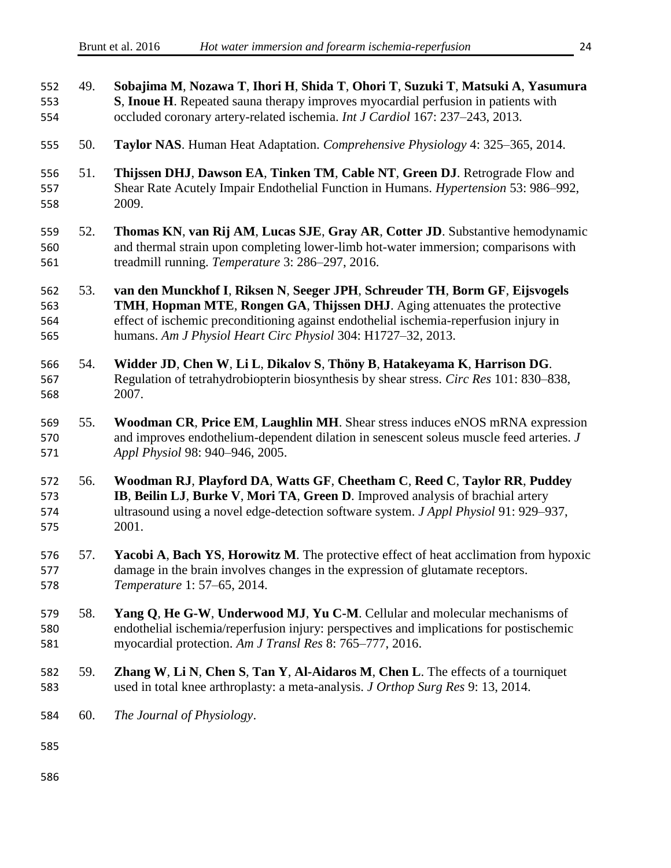| 552<br>553<br>554        | 49. | Sobajima M, Nozawa T, Ihori H, Shida T, Ohori T, Suzuki T, Matsuki A, Yasumura<br>S, Inoue H. Repeated sauna therapy improves myocardial perfusion in patients with<br>occluded coronary artery-related ischemia. Int J Cardiol 167: 237-243, 2013.                                                               |  |
|--------------------------|-----|-------------------------------------------------------------------------------------------------------------------------------------------------------------------------------------------------------------------------------------------------------------------------------------------------------------------|--|
| 555                      | 50. | Taylor NAS. Human Heat Adaptation. Comprehensive Physiology 4: 325–365, 2014.                                                                                                                                                                                                                                     |  |
| 556<br>557<br>558        | 51. | Thijssen DHJ, Dawson EA, Tinken TM, Cable NT, Green DJ. Retrograde Flow and<br>Shear Rate Acutely Impair Endothelial Function in Humans. <i>Hypertension</i> 53: 986–992,<br>2009.                                                                                                                                |  |
| 559<br>560<br>561        | 52. | Thomas KN, van Rij AM, Lucas SJE, Gray AR, Cotter JD. Substantive hemodynamic<br>and thermal strain upon completing lower-limb hot-water immersion; comparisons with<br>treadmill running. Temperature 3: 286-297, 2016.                                                                                          |  |
| 562<br>563<br>564<br>565 | 53. | van den Munckhof I, Riksen N, Seeger JPH, Schreuder TH, Borm GF, Eijsvogels<br>TMH, Hopman MTE, Rongen GA, Thijssen DHJ. Aging attenuates the protective<br>effect of ischemic preconditioning against endothelial ischemia-reperfusion injury in<br>humans. Am J Physiol Heart Circ Physiol 304: H1727-32, 2013. |  |
| 566<br>567<br>568        | 54. | Widder JD, Chen W, Li L, Dikalov S, Thöny B, Hatakeyama K, Harrison DG.<br>Regulation of tetrahydrobiopterin biosynthesis by shear stress. Circ Res 101: 830–838,<br>2007.                                                                                                                                        |  |
| 569<br>570<br>571        | 55. | Woodman CR, Price EM, Laughlin MH. Shear stress induces eNOS mRNA expression<br>and improves endothelium-dependent dilation in senescent soleus muscle feed arteries. J<br>Appl Physiol 98: 940-946, 2005.                                                                                                        |  |
| 572<br>573<br>574<br>575 | 56. | Woodman RJ, Playford DA, Watts GF, Cheetham C, Reed C, Taylor RR, Puddey<br>IB, Beilin LJ, Burke V, Mori TA, Green D. Improved analysis of brachial artery<br>ultrasound using a novel edge-detection software system. J Appl Physiol 91: 929-937,<br>2001.                                                       |  |
| 576<br>577<br>578        | 57. | Yacobi A, Bach YS, Horowitz M. The protective effect of heat acclimation from hypoxic<br>damage in the brain involves changes in the expression of glutamate receptors.<br>Temperature 1: 57-65, 2014.                                                                                                            |  |
| 579<br>580<br>581        | 58. | Yang Q, He G-W, Underwood MJ, Yu C-M. Cellular and molecular mechanisms of<br>endothelial ischemia/reperfusion injury: perspectives and implications for postischemic<br>myocardial protection. Am J Transl Res 8: 765-777, 2016.                                                                                 |  |
| 582<br>583               | 59. | Zhang W, Li N, Chen S, Tan Y, Al-Aidaros M, Chen L. The effects of a tourniquet<br>used in total knee arthroplasty: a meta-analysis. J Orthop Surg Res 9: 13, 2014.                                                                                                                                               |  |
| 584                      | 60. | The Journal of Physiology.                                                                                                                                                                                                                                                                                        |  |
| 585                      |     |                                                                                                                                                                                                                                                                                                                   |  |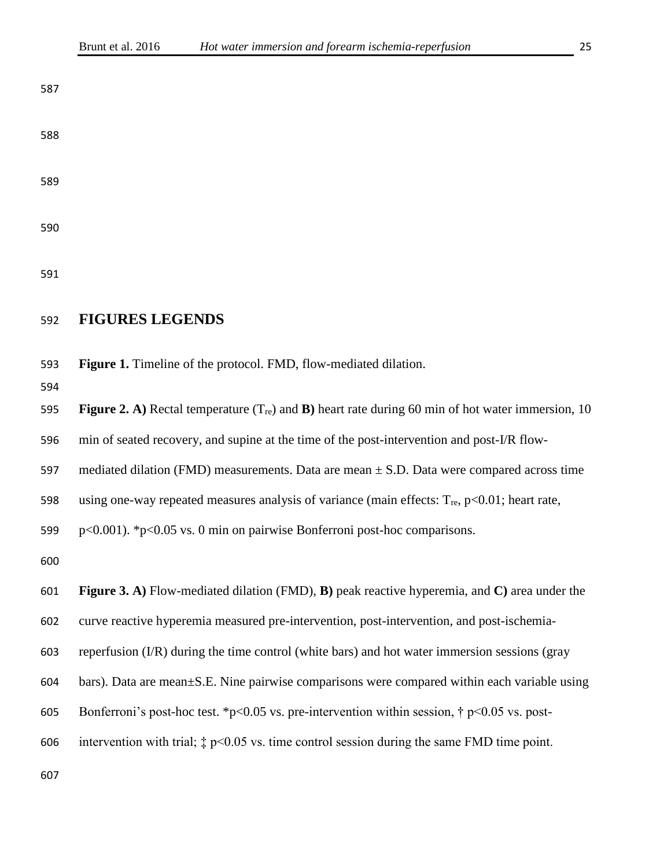### **FIGURES LEGENDS**

**Figure 1.** Timeline of the protocol. FMD, flow-mediated dilation.

```
595 Figure 2. A) Rectal temperature (Tre) and B) heart rate during 60 min of hot water immersion, 10 
596 min of seated recovery, and supine at the time of the post-intervention and post-I/R flow-
597 mediated dilation (FMD) measurements. Data are mean \pm S.D. Data were compared across time
598 using one-way repeated measures analysis of variance (main effects: T_{\text{re}}, p<0.01; heart rate,
599 p<0.001). *p<0.05 vs. 0 min on pairwise Bonferroni post-hoc comparisons.
600
601 Figure 3. A) Flow-mediated dilation (FMD), B) peak reactive hyperemia, and C) area under the 
602 curve reactive hyperemia measured pre-intervention, post-intervention, and post-ischemia-
603 reperfusion (I/R) during the time control (white bars) and hot water immersion sessions (gray 
604 bars). Data are mean±S.E. Nine pairwise comparisons were compared within each variable using 
605 Bonferroni's post-hoc test. *p<0.05 vs. pre-intervention within session, \uparrow p<0.05 vs. post-
606 intervention with trial; ‡ p<0.05 vs. time control session during the same FMD time point.
```